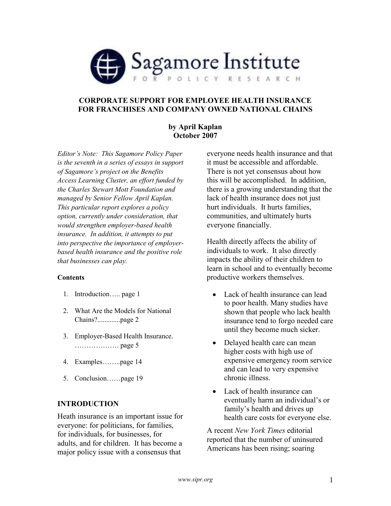

# CORPORATE SUPPORT FOR EMPLOYEE HEALTH INSURANCE FOR FRANCHISES AND COMPANY OWNED NATIONAL CHAINS

## by April Kaplan October 2007

Editor's Note: This Sagamore Policy Paper is the seventh in a series of essays in support of Sagamore's project on the Benefits Access Learning Cluster, an effort funded by the Charles Stewart Mott Foundation and managed by Senior Fellow April Kaplan. This particular report explores a policy option, currently under consideration, that would strengthen employer-based health insurance. In addition, it attempts to put into perspective the importance of employerbased health insurance and the positive role that businesses can play.

## **Contents**

- 1. Introduction….. page 1
- 2. What Are the Models for National Chains?.............page 2
- 3. Employer-Based Health Insurance. ………………. page 5
- 4. Examples……..page 14
- 5. Conclusion……page 19

# INTRODUCTION

Heath insurance is an important issue for everyone: for politicians, for families, for individuals, for businesses, for adults, and for children. It has become a major policy issue with a consensus that

everyone needs health insurance and that it must be accessible and affordable. There is not yet consensus about how this will be accomplished. In addition, there is a growing understanding that the lack of health insurance does not just hurt individuals. It hurts families, communities, and ultimately hurts everyone financially.

Health directly affects the ability of individuals to work. It also directly impacts the ability of their children to learn in school and to eventually become productive workers themselves.

- Lack of health insurance can lead to poor health. Many studies have shown that people who lack health insurance tend to forgo needed care until they become much sicker.
- Delayed health care can mean higher costs with high use of expensive emergency room service and can lead to very expensive chronic illness.
- Lack of health insurance can eventually harm an individual's or family's health and drives up health care costs for everyone else.

A recent New York Times editorial reported that the number of uninsured Americans has been rising; soaring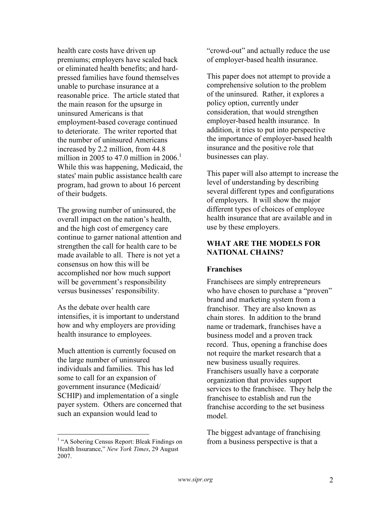health care costs have driven up premiums; employers have scaled back or eliminated health benefits; and hardpressed families have found themselves unable to purchase insurance at a reasonable price. The article stated that the main reason for the upsurge in uninsured Americans is that employment-based coverage continued to deteriorate. The writer reported that the number of uninsured Americans increased by 2.2 million, from 44.8 million in 2005 to 47.0 million in  $2006$ <sup>1</sup> While this was happening, Medicaid, the states' main public assistance health care program, had grown to about 16 percent of their budgets.

The growing number of uninsured, the overall impact on the nation's health, and the high cost of emergency care continue to garner national attention and strengthen the call for health care to be made available to all. There is not yet a consensus on how this will be accomplished nor how much support will be government's responsibility versus businesses' responsibility.

As the debate over health care intensifies, it is important to understand how and why employers are providing health insurance to employees.

Much attention is currently focused on the large number of uninsured individuals and families. This has led some to call for an expansion of government insurance (Medicaid/ SCHIP) and implementation of a single payer system. Others are concerned that such an expansion would lead to

"crowd-out" and actually reduce the use of employer-based health insurance.

This paper does not attempt to provide a comprehensive solution to the problem of the uninsured. Rather, it explores a policy option, currently under consideration, that would strengthen employer-based health insurance. In addition, it tries to put into perspective the importance of employer-based health insurance and the positive role that businesses can play.

This paper will also attempt to increase the level of understanding by describing several different types and configurations of employers. It will show the major different types of choices of employee health insurance that are available and in use by these employers.

# WHAT ARE THE MODELS FOR NATIONAL CHAINS?

# Franchises

Franchisees are simply entrepreneurs who have chosen to purchase a "proven" brand and marketing system from a franchisor. They are also known as chain stores. In addition to the brand name or trademark, franchises have a business model and a proven track record. Thus, opening a franchise does not require the market research that a new business usually requires. Franchisers usually have a corporate organization that provides support services to the franchisee. They help the franchisee to establish and run the franchise according to the set business model.

The biggest advantage of franchising from a business perspective is that a

 1 "A Sobering Census Report: Bleak Findings on Health Insurance," New York Times, 29 August 2007.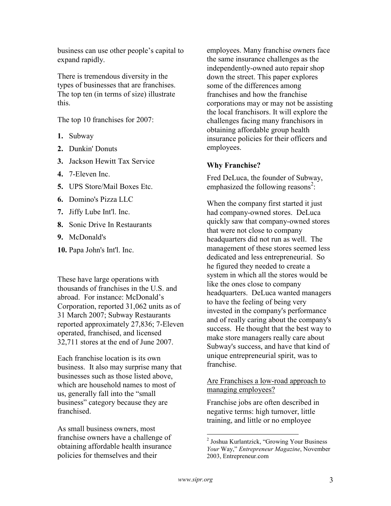business can use other people's capital to expand rapidly.

There is tremendous diversity in the types of businesses that are franchises. The top ten (in terms of size) illustrate this.

The top 10 franchises for 2007:

- 1. Subway
- 2. Dunkin' Donuts
- 3. Jackson Hewitt Tax Service
- 4. 7-Eleven Inc.
- 5. UPS Store/Mail Boxes Etc.
- 6. Domino's Pizza LLC
- 7. Jiffy Lube Int'l. Inc.
- 8. Sonic Drive In Restaurants
- 9. McDonald's
- 10. Papa John's Int'l. Inc.

These have large operations with thousands of franchises in the U.S. and abroad. For instance: McDonald's Corporation, reported 31,062 units as of 31 March 2007; Subway Restaurants reported approximately 27,836; 7-Eleven operated, franchised, and licensed 32,711 stores at the end of June 2007.

Each franchise location is its own business. It also may surprise many that businesses such as those listed above, which are household names to most of us, generally fall into the "small business" category because they are franchised.

As small business owners, most franchise owners have a challenge of obtaining affordable health insurance policies for themselves and their

employees. Many franchise owners face the same insurance challenges as the independently-owned auto repair shop down the street. This paper explores some of the differences among franchises and how the franchise corporations may or may not be assisting the local franchisors. It will explore the challenges facing many franchisors in obtaining affordable group health insurance policies for their officers and employees.

# Why Franchise?

Fred DeLuca, the founder of Subway, emphasized the following reasons<sup>2</sup>:

When the company first started it just had company-owned stores. DeLuca quickly saw that company-owned stores that were not close to company headquarters did not run as well. The management of these stores seemed less dedicated and less entrepreneurial. So he figured they needed to create a system in which all the stores would be like the ones close to company headquarters. DeLuca wanted managers to have the feeling of being very invested in the company's performance and of really caring about the company's success. He thought that the best way to make store managers really care about Subway's success, and have that kind of unique entrepreneurial spirit, was to franchise.

## Are Franchises a low-road approach to managing employees?

Franchise jobs are often described in negative terms: high turnover, little training, and little or no employee

 2 Joshua Kurlantzick, "Growing Your Business Your Way," Entrepreneur Magazine, November 2003, Entrepreneur.com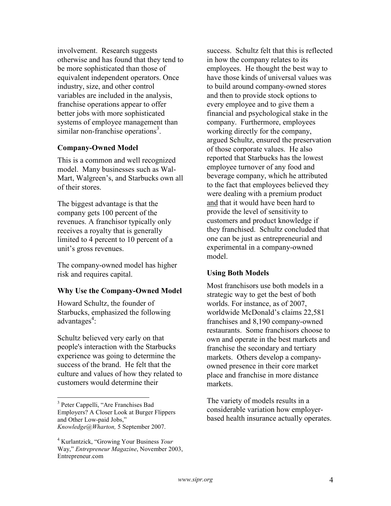involvement. Research suggests otherwise and has found that they tend to be more sophisticated than those of equivalent independent operators. Once industry, size, and other control variables are included in the analysis, franchise operations appear to offer better jobs with more sophisticated systems of employee management than similar non-franchise operations<sup>3</sup>.

## Company-Owned Model

This is a common and well recognized model. Many businesses such as Wal-Mart, Walgreen's, and Starbucks own all of their stores.

The biggest advantage is that the company gets 100 percent of the revenues. A franchisor typically only receives a royalty that is generally limited to 4 percent to 10 percent of a unit's gross revenues.

The company-owned model has higher risk and requires capital.

## Why Use the Company-Owned Model

Howard Schultz, the founder of Starbucks, emphasized the following advantages<sup>4</sup>:

Schultz believed very early on that people's interaction with the Starbucks experience was going to determine the success of the brand. He felt that the culture and values of how they related to customers would determine their

success. Schultz felt that this is reflected in how the company relates to its employees. He thought the best way to have those kinds of universal values was to build around company-owned stores and then to provide stock options to every employee and to give them a financial and psychological stake in the company. Furthermore, employees working directly for the company, argued Schultz, ensured the preservation of those corporate values. He also reported that Starbucks has the lowest employee turnover of any food and beverage company, which he attributed to the fact that employees believed they were dealing with a premium product and that it would have been hard to provide the level of sensitivity to customers and product knowledge if they franchised. Schultz concluded that one can be just as entrepreneurial and experimental in a company-owned model.

## Using Both Models

Most franchisors use both models in a strategic way to get the best of both worlds. For instance, as of 2007, worldwide McDonald's claims 22,581 franchises and 8,190 company-owned restaurants. Some franchisors choose to own and operate in the best markets and franchise the secondary and tertiary markets. Others develop a companyowned presence in their core market place and franchise in more distance markets.

The variety of models results in a considerable variation how employerbased health insurance actually operates.

 3 Peter Cappelli, "Are Franchises Bad Employers? A Closer Look at Burger Flippers and Other Low-paid Jobs," Knowledge@Wharton, 5 September 2007.

<sup>&</sup>lt;sup>4</sup> Kurlantzick, "Growing Your Business Your Way," Entrepreneur Magazine, November 2003, Entrepreneur.com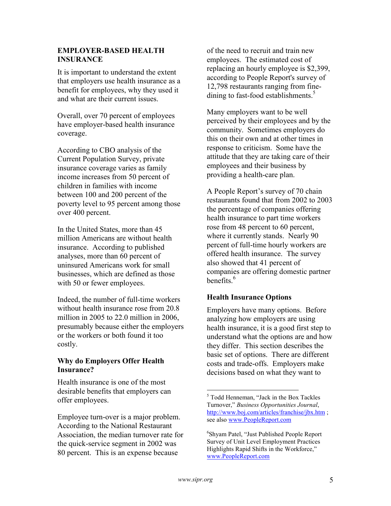# EMPLOYER-BASED HEALTH INSURANCE

It is important to understand the extent that employers use health insurance as a benefit for employees, why they used it and what are their current issues.

Overall, over 70 percent of employees have employer-based health insurance coverage.

According to CBO analysis of the Current Population Survey, private insurance coverage varies as family income increases from 50 percent of children in families with income between 100 and 200 percent of the poverty level to 95 percent among those over 400 percent.

In the United States, more than 45 million Americans are without health insurance. According to published analyses, more than 60 percent of uninsured Americans work for small businesses, which are defined as those with 50 or fewer employees.

Indeed, the number of full-time workers without health insurance rose from 20.8 million in 2005 to 22.0 million in 2006, presumably because either the employers or the workers or both found it too costly.

# Why do Employers Offer Health Insurance?

Health insurance is one of the most desirable benefits that employers can offer employees.

Employee turn-over is a major problem. According to the National Restaurant Association, the median turnover rate for the quick-service segment in 2002 was 80 percent. This is an expense because

of the need to recruit and train new employees. The estimated cost of replacing an hourly employee is \$2,399, according to People Report's survey of 12,798 restaurants ranging from finedining to fast-food establishments.<sup>5</sup>

Many employers want to be well perceived by their employees and by the community. Sometimes employers do this on their own and at other times in response to criticism. Some have the attitude that they are taking care of their employees and their business by providing a health-care plan.

A People Report's survey of 70 chain restaurants found that from 2002 to 2003 the percentage of companies offering health insurance to part time workers rose from 48 percent to 60 percent, where it currently stands. Nearly 90 percent of full-time hourly workers are offered health insurance. The survey also showed that 41 percent of companies are offering domestic partner benefits $6$ 

# Health Insurance Options

Employers have many options. Before analyzing how employers are using health insurance, it is a good first step to understand what the options are and how they differ. This section describes the basic set of options. There are different costs and trade-offs. Employers make decisions based on what they want to

 5 Todd Henneman, "Jack in the Box Tackles Turnover," Business Opportunities Journal, http://www.boj.com/articles/franchise/jbx.htm ; see also www.PeopleReport.com

<sup>6</sup> Shyam Patel, "Just Published People Report Survey of Unit Level Employment Practices Highlights Rapid Shifts in the Workforce," www.PeopleReport.com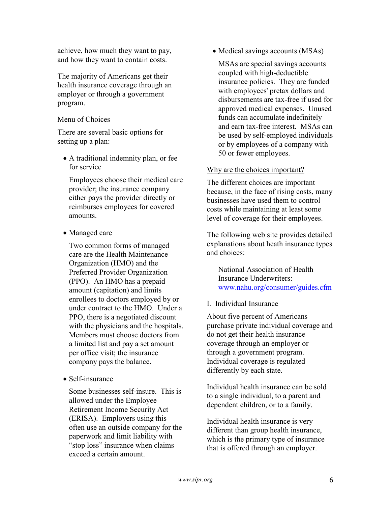achieve, how much they want to pay, and how they want to contain costs.

The majority of Americans get their health insurance coverage through an employer or through a government program.

# Menu of Choices

There are several basic options for setting up a plan:

• A traditional indemnity plan, or fee for service

Employees choose their medical care provider; the insurance company either pays the provider directly or reimburses employees for covered amounts.

• Managed care

Two common forms of managed care are the Health Maintenance Organization (HMO) and the Preferred Provider Organization (PPO). An HMO has a prepaid amount (capitation) and limits enrollees to doctors employed by or under contract to the HMO. Under a PPO, there is a negotiated discount with the physicians and the hospitals. Members must choose doctors from a limited list and pay a set amount per office visit; the insurance company pays the balance.

• Self-insurance

Some businesses self-insure. This is allowed under the Employee Retirement Income Security Act (ERISA). Employers using this often use an outside company for the paperwork and limit liability with "stop loss" insurance when claims exceed a certain amount.

• Medical savings accounts (MSAs)

MSAs are special savings accounts coupled with high-deductible insurance policies. They are funded with employees' pretax dollars and disbursements are tax-free if used for approved medical expenses. Unused funds can accumulate indefinitely and earn tax-free interest. MSAs can be used by self-employed individuals or by employees of a company with 50 or fewer employees.

## Why are the choices important?

The different choices are important because, in the face of rising costs, many businesses have used them to control costs while maintaining at least some level of coverage for their employees.

The following web site provides detailed explanations about heath insurance types and choices:

National Association of Health Insurance Underwriters: www.nahu.org/consumer/guides.cfm

## I. Individual Insurance

About five percent of Americans purchase private individual coverage and do not get their health insurance coverage through an employer or through a government program. Individual coverage is regulated differently by each state.

Individual health insurance can be sold to a single individual, to a parent and dependent children, or to a family.

Individual health insurance is very different than group health insurance, which is the primary type of insurance that is offered through an employer.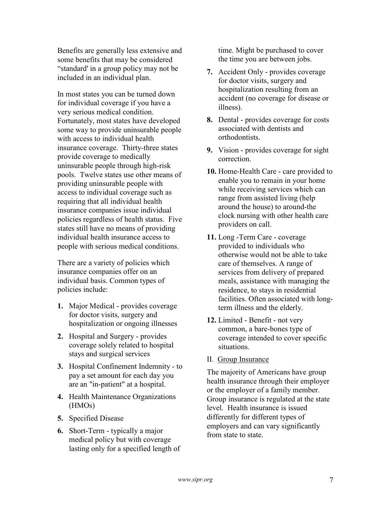Benefits are generally less extensive and some benefits that may be considered "standard' in a group policy may not be included in an individual plan.

In most states you can be turned down for individual coverage if you have a very serious medical condition. Fortunately, most states have developed some way to provide uninsurable people with access to individual health insurance coverage. Thirty-three states provide coverage to medically uninsurable people through high-risk pools. Twelve states use other means of providing uninsurable people with access to individual coverage such as requiring that all individual health insurance companies issue individual policies regardless of health status. Five states still have no means of providing individual health insurance access to people with serious medical conditions.

There are a variety of policies which insurance companies offer on an individual basis. Common types of policies include:

- 1. Major Medical provides coverage for doctor visits, surgery and hospitalization or ongoing illnesses
- 2. Hospital and Surgery provides coverage solely related to hospital stays and surgical services
- 3. Hospital Confinement Indemnity to pay a set amount for each day you are an "in-patient" at a hospital.
- 4. Health Maintenance Organizations (HMOs)
- 5. Specified Disease
- 6. Short-Term typically a major medical policy but with coverage lasting only for a specified length of

time. Might be purchased to cover the time you are between jobs.

- 7. Accident Only provides coverage for doctor visits, surgery and hospitalization resulting from an accident (no coverage for disease or illness).
- 8. Dental provides coverage for costs associated with dentists and orthodontists.
- 9. Vision provides coverage for sight correction.
- 10. Home-Health Care care provided to enable you to remain in your home while receiving services which can range from assisted living (help around the house) to around-the clock nursing with other health care providers on call.
- 11. Long -Term Care coverage provided to individuals who otherwise would not be able to take care of themselves. A range of services from delivery of prepared meals, assistance with managing the residence, to stays in residential facilities. Often associated with longterm illness and the elderly.
- 12. Limited Benefit not very common, a bare-bones type of coverage intended to cover specific situations.
- II. Group Insurance

The majority of Americans have group health insurance through their employer or the employer of a family member. Group insurance is regulated at the state level. Health insurance is issued differently for different types of employers and can vary significantly from state to state.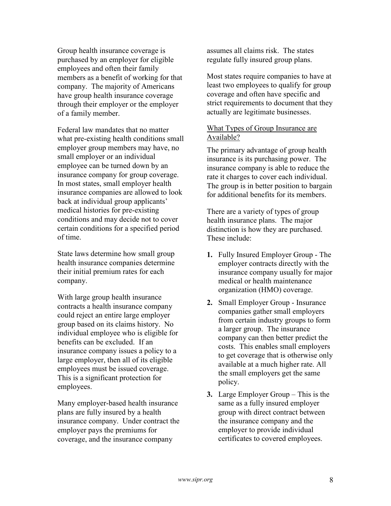Group health insurance coverage is purchased by an employer for eligible employees and often their family members as a benefit of working for that company. The majority of Americans have group health insurance coverage through their employer or the employer of a family member.

Federal law mandates that no matter what pre-existing health conditions small employer group members may have, no small employer or an individual employee can be turned down by an insurance company for group coverage. In most states, small employer health insurance companies are allowed to look back at individual group applicants' medical histories for pre-existing conditions and may decide not to cover certain conditions for a specified period of time.

State laws determine how small group health insurance companies determine their initial premium rates for each company.

With large group health insurance contracts a health insurance company could reject an entire large employer group based on its claims history. No individual employee who is eligible for benefits can be excluded. If an insurance company issues a policy to a large employer, then all of its eligible employees must be issued coverage. This is a significant protection for employees.

Many employer-based health insurance plans are fully insured by a health insurance company. Under contract the employer pays the premiums for coverage, and the insurance company

assumes all claims risk. The states regulate fully insured group plans.

Most states require companies to have at least two employees to qualify for group coverage and often have specific and strict requirements to document that they actually are legitimate businesses.

# What Types of Group Insurance are Available?

The primary advantage of group health insurance is its purchasing power. The insurance company is able to reduce the rate it charges to cover each individual. The group is in better position to bargain for additional benefits for its members.

There are a variety of types of group health insurance plans. The major distinction is how they are purchased. These include:

- 1. Fully Insured Employer Group The employer contracts directly with the insurance company usually for major medical or health maintenance organization (HMO) coverage.
- 2. Small Employer Group Insurance companies gather small employers from certain industry groups to form a larger group. The insurance company can then better predict the costs. This enables small employers to get coverage that is otherwise only available at a much higher rate. All the small employers get the same policy.
- 3. Large Employer Group This is the same as a fully insured employer group with direct contract between the insurance company and the employer to provide individual certificates to covered employees.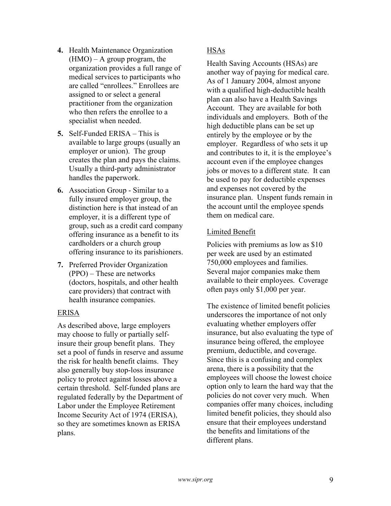- 4. Health Maintenance Organization  $(HMO)$  – A group program, the organization provides a full range of medical services to participants who are called "enrollees." Enrollees are assigned to or select a general practitioner from the organization who then refers the enrollee to a specialist when needed.
- 5. Self-Funded ERISA This is available to large groups (usually an employer or union). The group creates the plan and pays the claims. Usually a third-party administrator handles the paperwork.
- 6. Association Group Similar to a fully insured employer group, the distinction here is that instead of an employer, it is a different type of group, such as a credit card company offering insurance as a benefit to its cardholders or a church group offering insurance to its parishioners.
- 7. Preferred Provider Organization (PPO) – These are networks (doctors, hospitals, and other health care providers) that contract with health insurance companies.

# ERISA

As described above, large employers may choose to fully or partially selfinsure their group benefit plans. They set a pool of funds in reserve and assume the risk for health benefit claims. They also generally buy stop-loss insurance policy to protect against losses above a certain threshold. Self-funded plans are regulated federally by the Department of Labor under the Employee Retirement Income Security Act of 1974 (ERISA), so they are sometimes known as ERISA plans.

# **HSAs**

Health Saving Accounts (HSAs) are another way of paying for medical care. As of 1 January 2004, almost anyone with a qualified high-deductible health plan can also have a Health Savings Account. They are available for both individuals and employers. Both of the high deductible plans can be set up entirely by the employee or by the employer. Regardless of who sets it up and contributes to it, it is the employee's account even if the employee changes jobs or moves to a different state. It can be used to pay for deductible expenses and expenses not covered by the insurance plan. Unspent funds remain in the account until the employee spends them on medical care.

# Limited Benefit

Policies with premiums as low as \$10 per week are used by an estimated 750,000 employees and families. Several major companies make them available to their employees. Coverage often pays only \$1,000 per year.

The existence of limited benefit policies underscores the importance of not only evaluating whether employers offer insurance, but also evaluating the type of insurance being offered, the employee premium, deductible, and coverage. Since this is a confusing and complex arena, there is a possibility that the employees will choose the lowest choice option only to learn the hard way that the policies do not cover very much. When companies offer many choices, including limited benefit policies, they should also ensure that their employees understand the benefits and limitations of the different plans.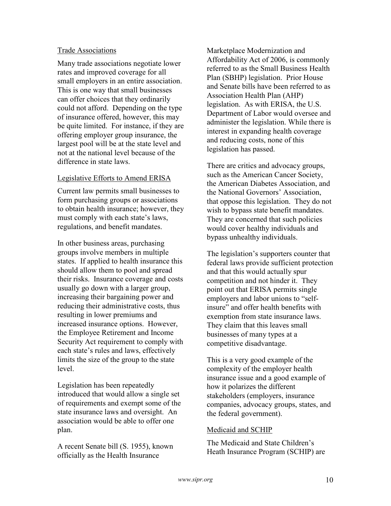## Trade Associations

Many trade associations negotiate lower rates and improved coverage for all small employers in an entire association. This is one way that small businesses can offer choices that they ordinarily could not afford. Depending on the type of insurance offered, however, this may be quite limited. For instance, if they are offering employer group insurance, the largest pool will be at the state level and not at the national level because of the difference in state laws.

# Legislative Efforts to Amend ERISA

Current law permits small businesses to form purchasing groups or associations to obtain health insurance; however, they must comply with each state's laws, regulations, and benefit mandates.

In other business areas, purchasing groups involve members in multiple states. If applied to health insurance this should allow them to pool and spread their risks. Insurance coverage and costs usually go down with a larger group, increasing their bargaining power and reducing their administrative costs, thus resulting in lower premiums and increased insurance options. However, the Employee Retirement and Income Security Act requirement to comply with each state's rules and laws, effectively limits the size of the group to the state level.

Legislation has been repeatedly introduced that would allow a single set of requirements and exempt some of the state insurance laws and oversight. An association would be able to offer one plan.

A recent Senate bill (S. 1955), known officially as the Health Insurance

Marketplace Modernization and Affordability Act of 2006, is commonly referred to as the Small Business Health Plan (SBHP) legislation. Prior House and Senate bills have been referred to as Association Health Plan (AHP) legislation. As with ERISA, the U.S. Department of Labor would oversee and administer the legislation. While there is interest in expanding health coverage and reducing costs, none of this legislation has passed.

There are critics and advocacy groups, such as the American Cancer Society, the American Diabetes Association, and the National Governors' Association, that oppose this legislation. They do not wish to bypass state benefit mandates. They are concerned that such policies would cover healthy individuals and bypass unhealthy individuals.

The legislation's supporters counter that federal laws provide sufficient protection and that this would actually spur competition and not hinder it. They point out that ERISA permits single employers and labor unions to "selfinsure" and offer health benefits with exemption from state insurance laws. They claim that this leaves small businesses of many types at a competitive disadvantage.

This is a very good example of the complexity of the employer health insurance issue and a good example of how it polarizes the different stakeholders (employers, insurance companies, advocacy groups, states, and the federal government).

# Medicaid and SCHIP

The Medicaid and State Children's Heath Insurance Program (SCHIP) are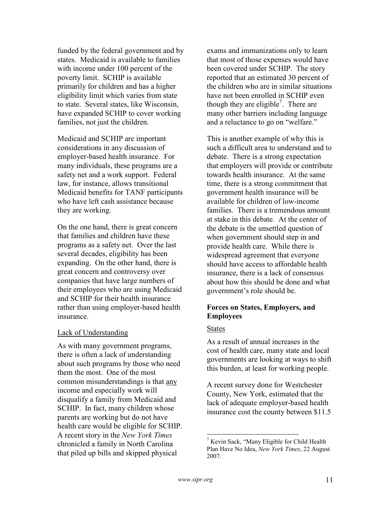funded by the federal government and by states. Medicaid is available to families with income under 100 percent of the poverty limit. SCHIP is available primarily for children and has a higher eligibility limit which varies from state to state. Several states, like Wisconsin, have expanded SCHIP to cover working families, not just the children.

Medicaid and SCHIP are important considerations in any discussion of employer-based health insurance. For many individuals, these programs are a safety net and a work support. Federal law, for instance, allows transitional Medicaid benefits for TANF participants who have left cash assistance because they are working.

On the one hand, there is great concern that families and children have these programs as a safety net. Over the last several decades, eligibility has been expanding. On the other hand, there is great concern and controversy over companies that have large numbers of their employees who are using Medicaid and SCHIP for their health insurance rather than using employer-based health insurance.

## Lack of Understanding

As with many government programs, there is often a lack of understanding about such programs by those who need them the most. One of the most common misunderstandings is that any income and especially work will disqualify a family from Medicaid and SCHIP. In fact, many children whose parents are working but do not have health care would be eligible for SCHIP. A recent story in the New York Times chronicled a family in North Carolina that piled up bills and skipped physical

exams and immunizations only to learn that most of those expenses would have been covered under SCHIP. The story reported that an estimated 30 percent of the children who are in similar situations have not been enrolled in SCHIP even though they are eligible<sup>7</sup>. There are many other barriers including language and a reluctance to go on "welfare."

This is another example of why this is such a difficult area to understand and to debate. There is a strong expectation that employers will provide or contribute towards health insurance. At the same time, there is a strong commitment that government health insurance will be available for children of low-income families. There is a tremendous amount at stake in this debate. At the center of the debate is the unsettled question of when government should step in and provide health care. While there is widespread agreement that everyone should have access to affordable health insurance, there is a lack of consensus about how this should be done and what government's role should be.

## Forces on States, Employers, and Employees

#### States

As a result of annual increases in the cost of health care, many state and local governments are looking at ways to shift this burden, at least for working people.

A recent survey done for Westchester County, New York, estimated that the lack of adequate employer-based health insurance cost the county between \$11.5

<u>.</u>

<sup>&</sup>lt;sup>7</sup> Kevin Sack, "Many Eligible for Child Health Plan Have No Idea, New York Times, 22 August 2007.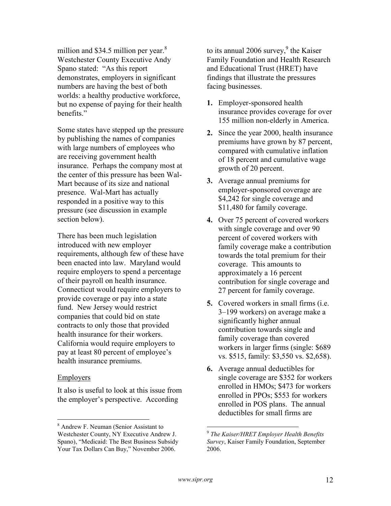million and \$34.5 million per year. $8$ Westchester County Executive Andy Spano stated: "As this report demonstrates, employers in significant numbers are having the best of both worlds: a healthy productive workforce, but no expense of paying for their health benefits."

Some states have stepped up the pressure by publishing the names of companies with large numbers of employees who are receiving government health insurance. Perhaps the company most at the center of this pressure has been Wal-Mart because of its size and national presence. Wal-Mart has actually responded in a positive way to this pressure (see discussion in example section below).

There has been much legislation introduced with new employer requirements, although few of these have been enacted into law. Maryland would require employers to spend a percentage of their payroll on health insurance. Connecticut would require employers to provide coverage or pay into a state fund. New Jersey would restrict companies that could bid on state contracts to only those that provided health insurance for their workers. California would require employers to pay at least 80 percent of employee's health insurance premiums.

#### Employers

It also is useful to look at this issue from the employer's perspective. According

to its annual  $2006$  survey,<sup>9</sup> the Kaiser Family Foundation and Health Research and Educational Trust (HRET) have findings that illustrate the pressures facing businesses.

- 1. Employer-sponsored health insurance provides coverage for over 155 million non-elderly in America.
- 2. Since the year 2000, health insurance premiums have grown by 87 percent, compared with cumulative inflation of 18 percent and cumulative wage growth of 20 percent.
- 3. Average annual premiums for employer-sponsored coverage are \$4,242 for single coverage and \$11,480 for family coverage.
- 4. Over 75 percent of covered workers with single coverage and over 90 percent of covered workers with family coverage make a contribution towards the total premium for their coverage. This amounts to approximately a 16 percent contribution for single coverage and 27 percent for family coverage.
- 5. Covered workers in small firms (i.e. 3–199 workers) on average make a significantly higher annual contribution towards single and family coverage than covered workers in larger firms (single: \$689 vs. \$515, family: \$3,550 vs. \$2,658).
- 6. Average annual deductibles for single coverage are \$352 for workers enrolled in HMOs; \$473 for workers enrolled in PPOs; \$553 for workers enrolled in POS plans. The annual deductibles for small firms are

 $\overline{a}$ 

 8 Andrew F. Neuman (Senior Assistant to Westchester County, NY Executive Andrew J. Spano), "Medicaid: The Best Business Subsidy Your Tax Dollars Can Buy," November 2006.

<sup>&</sup>lt;sup>9</sup> The Kaiser/HRET Employer Health Benefits Survey, Kaiser Family Foundation, September 2006.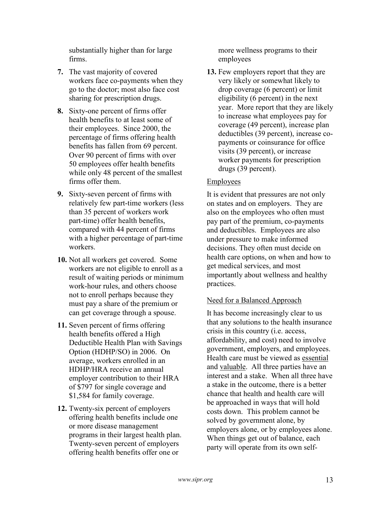substantially higher than for large firms.

- 7. The vast majority of covered workers face co-payments when they go to the doctor; most also face cost sharing for prescription drugs.
- 8. Sixty-one percent of firms offer health benefits to at least some of their employees. Since 2000, the percentage of firms offering health benefits has fallen from 69 percent. Over 90 percent of firms with over 50 employees offer health benefits while only 48 percent of the smallest firms offer them.
- 9. Sixty-seven percent of firms with relatively few part-time workers (less than 35 percent of workers work part-time) offer health benefits, compared with 44 percent of firms with a higher percentage of part-time workers.
- 10. Not all workers get covered. Some workers are not eligible to enroll as a result of waiting periods or minimum work-hour rules, and others choose not to enroll perhaps because they must pay a share of the premium or can get coverage through a spouse.
- 11. Seven percent of firms offering health benefits offered a High Deductible Health Plan with Savings Option (HDHP/SO) in 2006. On average, workers enrolled in an HDHP/HRA receive an annual employer contribution to their HRA of \$797 for single coverage and \$1,584 for family coverage.
- 12. Twenty-six percent of employers offering health benefits include one or more disease management programs in their largest health plan. Twenty-seven percent of employers offering health benefits offer one or

more wellness programs to their employees

13. Few employers report that they are very likely or somewhat likely to drop coverage (6 percent) or limit eligibility (6 percent) in the next year. More report that they are likely to increase what employees pay for coverage (49 percent), increase plan deductibles (39 percent), increase copayments or coinsurance for office visits (39 percent), or increase worker payments for prescription drugs (39 percent).

# Employees

It is evident that pressures are not only on states and on employers. They are also on the employees who often must pay part of the premium, co-payments and deductibles. Employees are also under pressure to make informed decisions. They often must decide on health care options, on when and how to get medical services, and most importantly about wellness and healthy practices.

# Need for a Balanced Approach

It has become increasingly clear to us that any solutions to the health insurance crisis in this country (i.e. access, affordability, and cost) need to involve government, employers, and employees. Health care must be viewed as essential and valuable. All three parties have an interest and a stake. When all three have a stake in the outcome, there is a better chance that health and health care will be approached in ways that will hold costs down. This problem cannot be solved by government alone, by employers alone, or by employees alone. When things get out of balance, each party will operate from its own self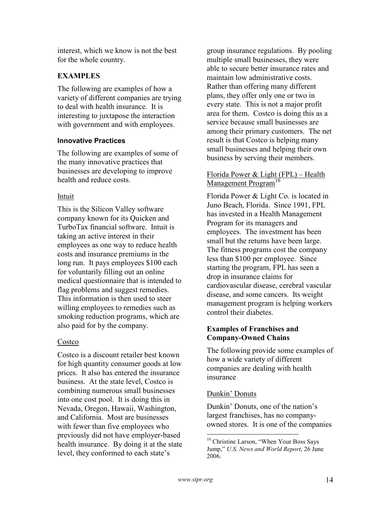interest, which we know is not the best for the whole country.

# **EXAMPLES**

The following are examples of how a variety of different companies are trying to deal with health insurance. It is interesting to juxtapose the interaction with government and with employees.

## Innovative Practices

The following are examples of some of the many innovative practices that businesses are developing to improve health and reduce costs.

# Intuit

This is the Silicon Valley software company known for its Quicken and TurboTax financial software. Intuit is taking an active interest in their employees as one way to reduce health costs and insurance premiums in the long run. It pays employees \$100 each for voluntarily filling out an online medical questionnaire that is intended to flag problems and suggest remedies. This information is then used to steer willing employees to remedies such as smoking reduction programs, which are also paid for by the company.

# Costco

Costco is a discount retailer best known for high quantity consumer goods at low prices. It also has entered the insurance business. At the state level, Costco is combining numerous small businesses into one cost pool. It is doing this in Nevada, Oregon, Hawaii, Washington, and California. Most are businesses with fewer than five employees who previously did not have employer-based health insurance. By doing it at the state level, they conformed to each state's

group insurance regulations. By pooling multiple small businesses, they were able to secure better insurance rates and maintain low administrative costs. Rather than offering many different plans, they offer only one or two in every state. This is not a major profit area for them. Costco is doing this as a service because small businesses are among their primary customers. The net result is that Costco is helping many small businesses and helping their own business by serving their members.

# Florida Power & Light (FPL) – Health Management Program<sup>10</sup>

Florida Power & Light Co. is located in Juno Beach, Florida. Since 1991, FPL has invested in a Health Management Program for its managers and employees. The investment has been small but the returns have been large. The fitness programs cost the company less than \$100 per employee. Since starting the program, FPL has seen a drop in insurance claims for cardiovascular disease, cerebral vascular disease, and some cancers. Its weight management program is helping workers control their diabetes.

# Examples of Franchises and Company-Owned Chains

The following provide some examples of how a wide variety of different companies are dealing with health insurance

# Dunkin' Donuts

Dunkin' Donuts, one of the nation's largest franchises, has no companyowned stores. It is one of the companies

<u>.</u>

<sup>&</sup>lt;sup>10</sup> Christine Larson, "When Your Boss Says Jump," U.S. News and World Report, 26 June 2006.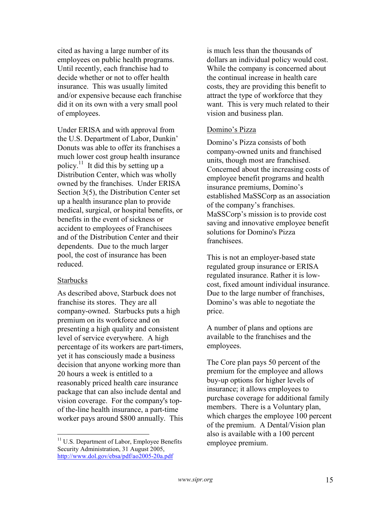cited as having a large number of its employees on public health programs. Until recently, each franchise had to decide whether or not to offer health insurance. This was usually limited and/or expensive because each franchise did it on its own with a very small pool of employees.

Under ERISA and with approval from the U.S. Department of Labor, Dunkin' Donuts was able to offer its franchises a much lower cost group health insurance policy.<sup>11</sup> It did this by setting up a Distribution Center, which was wholly owned by the franchises. Under ERISA Section 3(5), the Distribution Center set up a health insurance plan to provide medical, surgical, or hospital benefits, or benefits in the event of sickness or accident to employees of Franchisees and of the Distribution Center and their dependents. Due to the much larger pool, the cost of insurance has been reduced.

## **Starbucks**

<u>.</u>

As described above, Starbuck does not franchise its stores. They are all company-owned. Starbucks puts a high premium on its workforce and on presenting a high quality and consistent level of service everywhere. A high percentage of its workers are part-timers, yet it has consciously made a business decision that anyone working more than 20 hours a week is entitled to a reasonably priced health care insurance package that can also include dental and vision coverage. For the company's topof the-line health insurance, a part-time worker pays around \$800 annually. This

<sup>11</sup> U.S. Department of Labor, Employee Benefits Security Administration, 31 August 2005, http://www.dol.gov/ebsa/pdf/ao2005-20a.pdf

is much less than the thousands of dollars an individual policy would cost. While the company is concerned about the continual increase in health care costs, they are providing this benefit to attract the type of workforce that they want. This is very much related to their vision and business plan.

## Domino's Pizza

Domino's Pizza consists of both company-owned units and franchised units, though most are franchised. Concerned about the increasing costs of employee benefit programs and health insurance premiums, Domino's established MaSSCorp as an association of the company's franchises. MaSSCorp's mission is to provide cost saving and innovative employee benefit solutions for Domino's Pizza **franchisees** 

This is not an employer-based state regulated group insurance or ERISA regulated insurance. Rather it is lowcost, fixed amount individual insurance. Due to the large number of franchises, Domino's was able to negotiate the price.

A number of plans and options are available to the franchises and the employees.

The Core plan pays 50 percent of the premium for the employee and allows buy-up options for higher levels of insurance; it allows employees to purchase coverage for additional family members. There is a Voluntary plan, which charges the employee 100 percent of the premium. A Dental/Vision plan also is available with a 100 percent employee premium.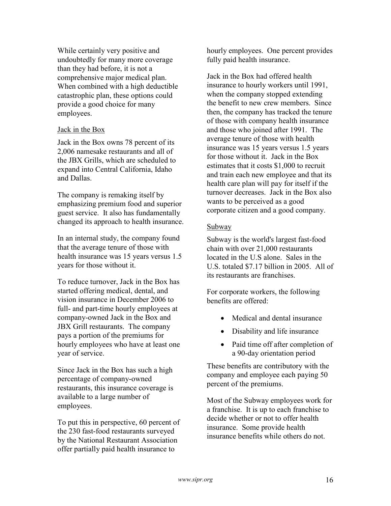While certainly very positive and undoubtedly for many more coverage than they had before, it is not a comprehensive major medical plan. When combined with a high deductible catastrophic plan, these options could provide a good choice for many employees.

## Jack in the Box

Jack in the Box owns 78 percent of its 2,006 namesake restaurants and all of the JBX Grills, which are scheduled to expand into Central California, Idaho and Dallas.

The company is remaking itself by emphasizing premium food and superior guest service. It also has fundamentally changed its approach to health insurance.

In an internal study, the company found that the average tenure of those with health insurance was 15 years versus 1.5 years for those without it.

To reduce turnover, Jack in the Box has started offering medical, dental, and vision insurance in December 2006 to full- and part-time hourly employees at company-owned Jack in the Box and JBX Grill restaurants. The company pays a portion of the premiums for hourly employees who have at least one year of service.

Since Jack in the Box has such a high percentage of company-owned restaurants, this insurance coverage is available to a large number of employees.

To put this in perspective, 60 percent of the 230 fast-food restaurants surveyed by the National Restaurant Association offer partially paid health insurance to

hourly employees. One percent provides fully paid health insurance.

Jack in the Box had offered health insurance to hourly workers until 1991, when the company stopped extending the benefit to new crew members. Since then, the company has tracked the tenure of those with company health insurance and those who joined after 1991. The average tenure of those with health insurance was 15 years versus 1.5 years for those without it. Jack in the Box estimates that it costs \$1,000 to recruit and train each new employee and that its health care plan will pay for itself if the turnover decreases. Jack in the Box also wants to be perceived as a good corporate citizen and a good company.

## Subway

Subway is the world's largest fast-food chain with over 21,000 restaurants located in the U.S alone. Sales in the U.S. totaled \$7.17 billion in 2005. All of its restaurants are franchises.

For corporate workers, the following benefits are offered:

- Medical and dental insurance
- Disability and life insurance
- Paid time off after completion of a 90-day orientation period

These benefits are contributory with the company and employee each paying 50 percent of the premiums.

Most of the Subway employees work for a franchise. It is up to each franchise to decide whether or not to offer health insurance. Some provide health insurance benefits while others do not.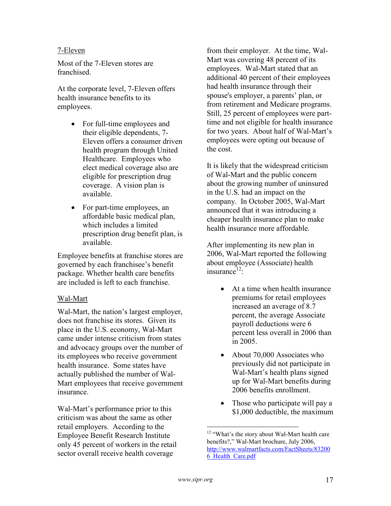## 7-Eleven

Most of the 7-Eleven stores are franchised.

At the corporate level, 7-Eleven offers health insurance benefits to its employees.

- For full-time employees and their eligible dependents, 7- Eleven offers a consumer driven health program through United Healthcare. Employees who elect medical coverage also are eligible for prescription drug coverage. A vision plan is available.
- For part-time employees, an affordable basic medical plan, which includes a limited prescription drug benefit plan, is available.

Employee benefits at franchise stores are governed by each franchisee's benefit package. Whether health care benefits are included is left to each franchise.

# Wal-Mart

Wal-Mart, the nation's largest employer, does not franchise its stores. Given its place in the U.S. economy, Wal-Mart came under intense criticism from states and advocacy groups over the number of its employees who receive government health insurance. Some states have actually published the number of Wal-Mart employees that receive government insurance.

Wal-Mart's performance prior to this criticism was about the same as other retail employers. According to the Employee Benefit Research Institute only 45 percent of workers in the retail sector overall receive health coverage

from their employer. At the time, Wal-Mart was covering 48 percent of its employees. Wal-Mart stated that an additional 40 percent of their employees had health insurance through their spouse's employer, a parents' plan, or from retirement and Medicare programs. Still, 25 percent of employees were parttime and not eligible for health insurance for two years. About half of Wal-Mart's employees were opting out because of the cost.

It is likely that the widespread criticism of Wal-Mart and the public concern about the growing number of uninsured in the U.S. had an impact on the company. In October 2005, Wal-Mart announced that it was introducing a cheaper health insurance plan to make health insurance more affordable.

After implementing its new plan in 2006, Wal-Mart reported the following about employee (Associate) health  $in$ surance $^{12}$ .

- At a time when health insurance premiums for retail employees increased an average of 8.7 percent, the average Associate payroll deductions were 6 percent less overall in 2006 than in 2005.
- About 70,000 Associates who previously did not participate in Wal-Mart's health plans signed up for Wal-Mart benefits during 2006 benefits enrollment.
- Those who participate will pay a \$1,000 deductible, the maximum

 $\overline{a}$ 

<sup>&</sup>lt;sup>12</sup> "What's the story about Wal-Mart health care benefits?," Wal-Mart brochure, July 2006, http://www.walmartfacts.com/FactSheets/83200 6\_Health\_Care.pdf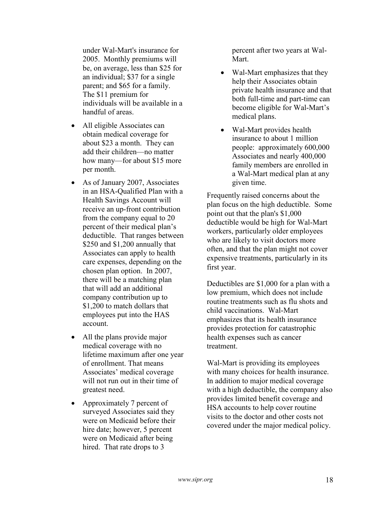under Wal-Mart's insurance for 2005. Monthly premiums will be, on average, less than \$25 for an individual; \$37 for a single parent; and \$65 for a family. The \$11 premium for individuals will be available in a handful of areas.

- All eligible Associates can obtain medical coverage for about \$23 a month. They can add their children—no matter how many—for about \$15 more per month.
- As of January 2007, Associates in an HSA-Qualified Plan with a Health Savings Account will receive an up-front contribution from the company equal to 20 percent of their medical plan's deductible. That ranges between \$250 and \$1,200 annually that Associates can apply to health care expenses, depending on the chosen plan option. In 2007, there will be a matching plan that will add an additional company contribution up to \$1,200 to match dollars that employees put into the HAS account.
- All the plans provide major medical coverage with no lifetime maximum after one year of enrollment. That means Associates' medical coverage will not run out in their time of greatest need.
- Approximately 7 percent of surveyed Associates said they were on Medicaid before their hire date; however, 5 percent were on Medicaid after being hired. That rate drops to 3

percent after two years at Wal-Mart.

- Wal-Mart emphasizes that they help their Associates obtain private health insurance and that both full-time and part-time can become eligible for Wal-Mart's medical plans.
- Wal-Mart provides health insurance to about 1 million people: approximately 600,000 Associates and nearly 400,000 family members are enrolled in a Wal-Mart medical plan at any given time.

Frequently raised concerns about the plan focus on the high deductible. Some point out that the plan's \$1,000 deductible would be high for Wal-Mart workers, particularly older employees who are likely to visit doctors more often, and that the plan might not cover expensive treatments, particularly in its first year.

Deductibles are \$1,000 for a plan with a low premium, which does not include routine treatments such as flu shots and child vaccinations. Wal-Mart emphasizes that its health insurance provides protection for catastrophic health expenses such as cancer treatment.

Wal-Mart is providing its employees with many choices for health insurance. In addition to major medical coverage with a high deductible, the company also provides limited benefit coverage and HSA accounts to help cover routine visits to the doctor and other costs not covered under the major medical policy.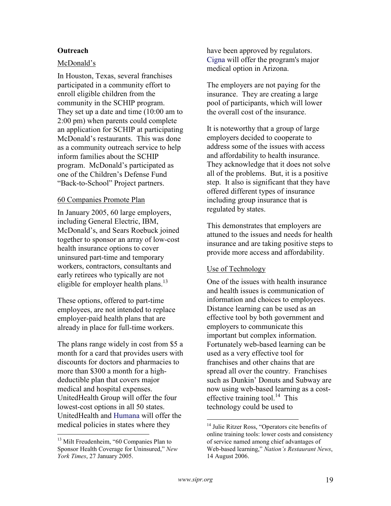# **Outreach**

## McDonald's

In Houston, Texas, several franchises participated in a community effort to enroll eligible children from the community in the SCHIP program. They set up a date and time (10:00 am to 2:00 pm) when parents could complete an application for SCHIP at participating McDonald's restaurants. This was done as a community outreach service to help inform families about the SCHIP program. McDonald's participated as one of the Children's Defense Fund "Back-to-School" Project partners.

## 60 Companies Promote Plan

In January 2005, 60 large employers, including General Electric, IBM, McDonald's, and Sears Roebuck joined together to sponsor an array of low-cost health insurance options to cover uninsured part-time and temporary workers, contractors, consultants and early retirees who typically are not eligible for employer health plans.<sup>13</sup>

These options, offered to part-time employees, are not intended to replace employer-paid health plans that are already in place for full-time workers.

The plans range widely in cost from \$5 a month for a card that provides users with discounts for doctors and pharmacies to more than \$300 a month for a highdeductible plan that covers major medical and hospital expenses. UnitedHealth Group will offer the four lowest-cost options in all 50 states. UnitedHealth and Humana will offer the medical policies in states where they

<u>.</u>

have been approved by regulators. Cigna will offer the program's major medical option in Arizona.

The employers are not paying for the insurance. They are creating a large pool of participants, which will lower the overall cost of the insurance.

It is noteworthy that a group of large employers decided to cooperate to address some of the issues with access and affordability to health insurance. They acknowledge that it does not solve all of the problems. But, it is a positive step. It also is significant that they have offered different types of insurance including group insurance that is regulated by states.

This demonstrates that employers are attuned to the issues and needs for health insurance and are taking positive steps to provide more access and affordability.

## Use of Technology

One of the issues with health insurance and health issues is communication of information and choices to employees. Distance learning can be used as an effective tool by both government and employers to communicate this important but complex information. Fortunately web-based learning can be used as a very effective tool for franchises and other chains that are spread all over the country. Franchises such as Dunkin' Donuts and Subway are now using web-based learning as a costeffective training tool.<sup>14</sup> This technology could be used to

 $\overline{a}$ 

<sup>&</sup>lt;sup>13</sup> Milt Freudenheim, "60 Companies Plan to Sponsor Health Coverage for Uninsured," New York Times, 27 January 2005.

<sup>&</sup>lt;sup>14</sup> Julie Ritzer Ross, "Operators cite benefits of online training tools: lower costs and consistency of service named among chief advantages of Web-based learning," Nation's Restaurant News, 14 August 2006.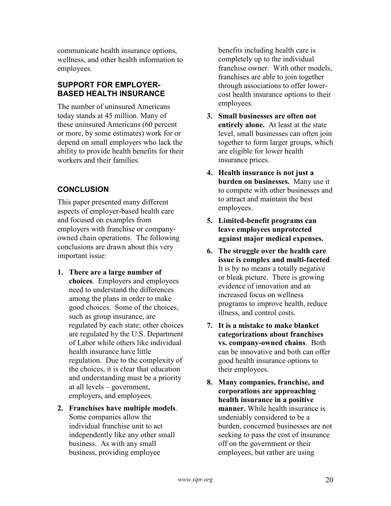communicate health insurance options, wellness, and other health information to employees.

# SUPPORT FOR EMPLOYER-BASED HEALTH INSURANCE

The number of uninsured Americans today stands at 45 million. Many of these uninsured Americans (60 percent or more, by some estimates) work for or depend on small employers who lack the ability to provide health benefits for their workers and their families.

# **CONCLUSION**

This paper presented many different aspects of employer-based health care and focused on examples from employers with franchise or companyowned chain operations. The following conclusions are drawn about this very important issue:

- 1. There are a large number of choices. Employers and employees need to understand the differences among the plans in order to make good choices. Some of the choices, such as group insurance, are regulated by each state; other choices are regulated by the U.S. Department of Labor while others like individual health insurance have little regulation. Due to the complexity of the choices, it is clear that education and understanding must be a priority at all levels – government, employers, and employees.
- 2. Franchises have multiple models. Some companies allow the individual franchise unit to act independently like any other small business. As with any small business, providing employee

benefits including health care is completely up to the individual franchise owner. With other models, franchises are able to join together through associations to offer lowercost health insurance options to their employees.

- 3. Small businesses are often not entirely alone. At least at the state level, small businesses can often join together to form larger groups, which are eligible for lower health insurance prices.
- 4. Health insurance is not just a burden on businesses. Many use it to compete with other businesses and to attract and maintain the best employees.
- 5. Limited-benefit programs can leave employees unprotected against major medical expenses.
- 6. The struggle over the health care issue is complex and multi-faceted. It is by no means a totally negative or bleak picture. There is growing evidence of innovation and an increased focus on wellness programs to improve health, reduce illness, and control costs.
- 7. It is a mistake to make blanket categorizations about franchises vs. company-owned chains. Both can be innovative and both can offer good health insurance options to their employees.
- 8. Many companies, franchise, and corporations are approaching health insurance in a positive manner. While health insurance is undeniably considered to be a burden, concerned businesses are not seeking to pass the cost of insurance off on the government or their employees, but rather are using